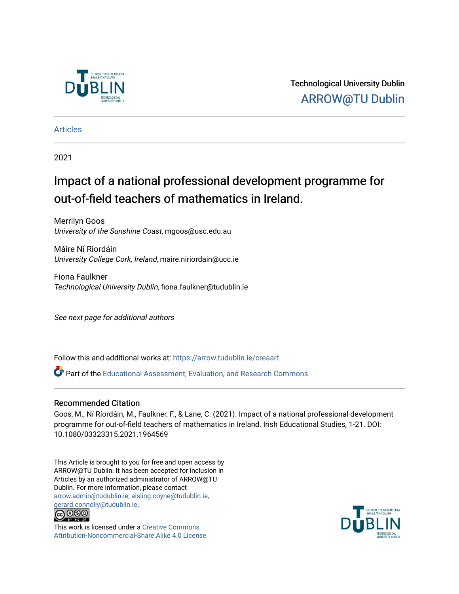

Technological University Dublin [ARROW@TU Dublin](https://arrow.tudublin.ie/) 

[Articles](https://arrow.tudublin.ie/creaart)

2021

# Impact of a national professional development programme for out-of-field teachers of mathematics in Ireland.

Merrilyn Goos University of the Sunshine Coast, mgoos@usc.edu.au

Máire Ní Riordáin University College Cork, Ireland, maire.niriordain@ucc.ie

Fiona Faulkner Technological University Dublin, fiona.faulkner@tudublin.ie

See next page for additional authors

Follow this and additional works at: [https://arrow.tudublin.ie/creaart](https://arrow.tudublin.ie/creaart?utm_source=arrow.tudublin.ie%2Fcreaart%2F43&utm_medium=PDF&utm_campaign=PDFCoverPages) 

Part of the [Educational Assessment, Evaluation, and Research Commons](http://network.bepress.com/hgg/discipline/796?utm_source=arrow.tudublin.ie%2Fcreaart%2F43&utm_medium=PDF&utm_campaign=PDFCoverPages)

# Recommended Citation

Goos, M., Ní Ríordáin, M., Faulkner, F., & Lane, C. (2021). Impact of a national professional development programme for out-of-field teachers of mathematics in Ireland. Irish Educational Studies, 1-21. DOI: 10.1080/03323315.2021.1964569

This Article is brought to you for free and open access by ARROW@TU Dublin. It has been accepted for inclusion in Articles by an authorized administrator of ARROW@TU Dublin. For more information, please contact [arrow.admin@tudublin.ie, aisling.coyne@tudublin.ie,](mailto:arrow.admin@tudublin.ie,%20aisling.coyne@tudublin.ie,%20gerard.connolly@tudublin.ie)  [gerard.connolly@tudublin.ie](mailto:arrow.admin@tudublin.ie,%20aisling.coyne@tudublin.ie,%20gerard.connolly@tudublin.ie).



This work is licensed under a [Creative Commons](http://creativecommons.org/licenses/by-nc-sa/4.0/) [Attribution-Noncommercial-Share Alike 4.0 License](http://creativecommons.org/licenses/by-nc-sa/4.0/)

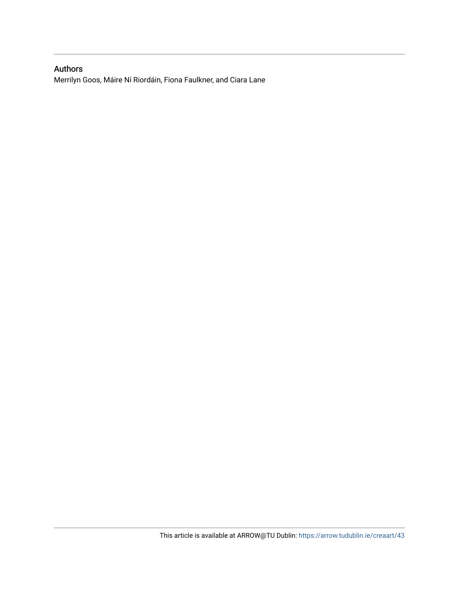# Authors

Merrilyn Goos, Máire Ní Riordáin, Fiona Faulkner, and Ciara Lane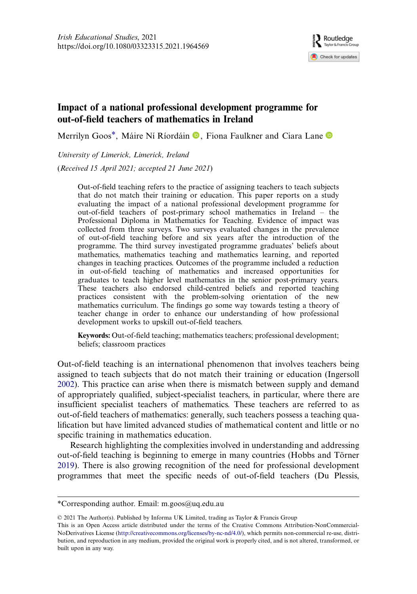

# Impact of a national professional development programme for out-of-field teachers of mathematics in Ireland

Merrilyn Goos<sup>\*</sup>, Máire Ní Ríordáin <sup>(D</sup>, Fiona Faulkner and Ciara Lane <sup>(D</sup>)

University of Limerick, Limerick, Ireland

(Received 15 April 2021; accepted 21 June 2021)

Out-of-field teaching refers to the practice of assigning teachers to teach subjects that do not match their training or education. This paper reports on a study evaluating the impact of a national professional development programme for out-of-field teachers of post-primary school mathematics in Ireland – the Professional Diploma in Mathematics for Teaching. Evidence of impact was collected from three surveys. Two surveys evaluated changes in the prevalence of out-of-field teaching before and six years after the introduction of the programme. The third survey investigated programme graduates' beliefs about mathematics, mathematics teaching and mathematics learning, and reported changes in teaching practices. Outcomes of the programme included a reduction in out-of-field teaching of mathematics and increased opportunities for graduates to teach higher level mathematics in the senior post-primary years. These teachers also endorsed child-centred beliefs and reported teaching practices consistent with the problem-solving orientation of the new mathematics curriculum. The findings go some way towards testing a theory of teacher change in order to enhance our understanding of how professional development works to upskill out-of-field teachers.

Keywords: Out-of-field teaching; mathematics teachers; professional development; beliefs; classroom practices

<span id="page-2-1"></span>Out-of-field teaching is an international phenomenon that involves teachers being assigned to teach subjects that do not match their training or education (Ingersoll [2002](#page-21-0)). This practice can arise when there is mismatch between supply and demand of appropriately qualified, subject-specialist teachers, in particular, where there are insufficient specialist teachers of mathematics. These teachers are referred to as out-of-field teachers of mathematics: generally, such teachers possess a teaching qualification but have limited advanced studies of mathematical content and little or no specific training in mathematics education.

<span id="page-2-0"></span>Research highlighting the complexities involved in understanding and addressing out-of-field teaching is beginning to emerge in many countries (Hobbs and Törner [2019](#page-21-1)). There is also growing recognition of the need for professional development programmes that meet the specific needs of out-of-field teachers (Du Plessis,

<sup>\*</sup>Corresponding author. Email: [m.goos@uq.edu.au](mailto:m.goos@uq.edu.au)

<sup>© 2021</sup> The Author(s). Published by Informa UK Limited, trading as Taylor & Francis Group

This is an Open Access article distributed under the terms of the Creative Commons Attribution-NonCommercial-NoDerivatives License [\(http://creativecommons.org/licenses/by-nc-nd/4.0/](http://creativecommons.org/licenses/by-nc-nd/4.0/)), which permits non-commercial re-use, distribution, and reproduction in any medium, provided the original work is properly cited, and is not altered, transformed, or built upon in any way.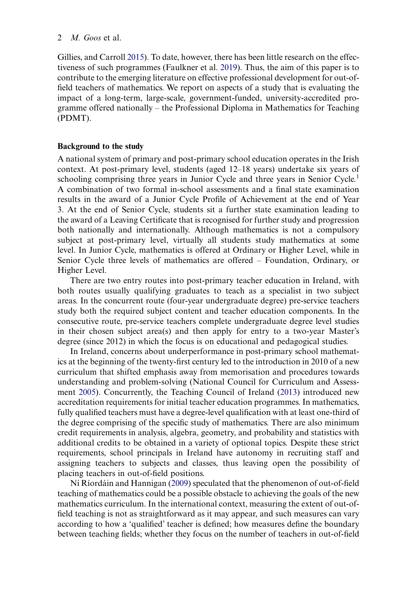<span id="page-3-1"></span><span id="page-3-0"></span>Gillies, and Carroll [2015](#page-21-2)). To date, however, there has been little research on the effectiveness of such programmes (Faulkner et al. [2019\)](#page-21-3). Thus, the aim of this paper is to contribute to the emerging literature on effective professional development for out-offield teachers of mathematics. We report on aspects of a study that is evaluating the impact of a long-term, large-scale, government-funded, university-accredited programme offered nationally – the Professional Diploma in Mathematics for Teaching (PDMT).

#### Background to the study

A national system of primary and post-primary school education operates in the Irish context. At post-primary level, students (aged 12–18 years) undertake six years of schooling comprising three years in Junior Cycle and three years in Senior Cycle.<sup>[1](#page-19-0)</sup> A combination of two formal in-school assessments and a final state examination results in the award of a Junior Cycle Profile of Achievement at the end of Year 3. At the end of Senior Cycle, students sit a further state examination leading to the award of a Leaving Certificate that is recognised for further study and progression both nationally and internationally. Although mathematics is not a compulsory subject at post-primary level, virtually all students study mathematics at some level. In Junior Cycle, mathematics is offered at Ordinary or Higher Level, while in Senior Cycle three levels of mathematics are offered – Foundation, Ordinary, or Higher Level.

There are two entry routes into post-primary teacher education in Ireland, with both routes usually qualifying graduates to teach as a specialist in two subject areas. In the concurrent route (four-year undergraduate degree) pre-service teachers study both the required subject content and teacher education components. In the consecutive route, pre-service teachers complete undergraduate degree level studies in their chosen subject area(s) and then apply for entry to a two-year Master's degree (since 2012) in which the focus is on educational and pedagogical studies.

<span id="page-3-2"></span>In Ireland, concerns about underperformance in post-primary school mathematics at the beginning of the twenty-first century led to the introduction in 2010 of a new curriculum that shifted emphasis away from memorisation and procedures towards understanding and problem-solving (National Council for Curriculum and Assessment [2005](#page-22-0)). Concurrently, the Teaching Council of Ireland ([2013\)](#page-22-1) introduced new accreditation requirements for initial teacher education programmes. In mathematics, fully qualified teachers must have a degree-level qualification with at least one-third of the degree comprising of the specific study of mathematics. There are also minimum credit requirements in analysis, algebra, geometry, and probability and statistics with additional credits to be obtained in a variety of optional topics. Despite these strict requirements, school principals in Ireland have autonomy in recruiting staff and assigning teachers to subjects and classes, thus leaving open the possibility of placing teachers in out-of-field positions.

<span id="page-3-3"></span>Ní Ríordáin and Hannigan ([2009\)](#page-22-2) speculated that the phenomenon of out-of-field teaching of mathematics could be a possible obstacle to achieving the goals of the new mathematics curriculum. In the international context, measuring the extent of out-offield teaching is not as straightforward as it may appear, and such measures can vary according to how a 'qualified' teacher is defined; how measures define the boundary between teaching fields; whether they focus on the number of teachers in out-of-field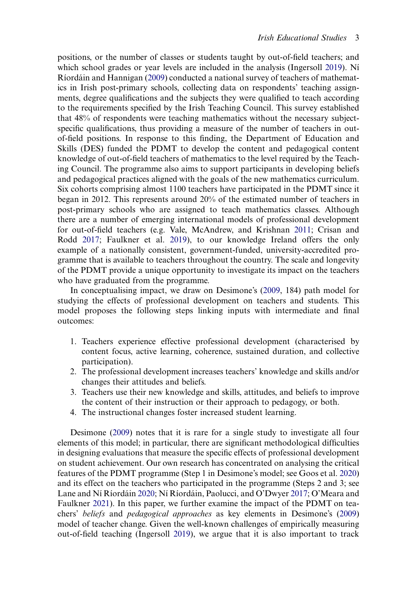positions, or the number of classes or students taught by out-of-field teachers; and which school grades or year levels are included in the analysis (Ingersoll [2019\)](#page-21-4). Ní Ríordáin and Hannigan ([2009\)](#page-22-2) conducted a national survey of teachers of mathematics in Irish post-primary schools, collecting data on respondents' teaching assignments, degree qualifications and the subjects they were qualified to teach according to the requirements specified by the Irish Teaching Council. This survey established that 48% of respondents were teaching mathematics without the necessary subjectspecific qualifications, thus providing a measure of the number of teachers in outof-field positions. In response to this finding, the Department of Education and Skills (DES) funded the PDMT to develop the content and pedagogical content knowledge of out-of-field teachers of mathematics to the level required by the Teaching Council. The programme also aims to support participants in developing beliefs and pedagogical practices aligned with the goals of the new mathematics curriculum. Six cohorts comprising almost 1100 teachers have participated in the PDMT since it began in 2012. This represents around 20% of the estimated number of teachers in post-primary schools who are assigned to teach mathematics classes. Although there are a number of emerging international models of professional development for out-of-field teachers (e.g. Vale, McAndrew, and Krishnan [2011](#page-22-3); Crisan and Rodd [2017;](#page-21-5) Faulkner et al. [2019](#page-21-3)), to our knowledge Ireland offers the only example of a nationally consistent, government-funded, university-accredited programme that is available to teachers throughout the country. The scale and longevity of the PDMT provide a unique opportunity to investigate its impact on the teachers who have graduated from the programme.

<span id="page-4-6"></span><span id="page-4-0"></span>In conceptualising impact, we draw on Desimone's [\(2009](#page-21-6), 184) path model for studying the effects of professional development on teachers and students. This model proposes the following steps linking inputs with intermediate and final outcomes:

- 1. Teachers experience effective professional development (characterised by content focus, active learning, coherence, sustained duration, and collective participation).
- 2. The professional development increases teachers' knowledge and skills and/or changes their attitudes and beliefs.
- 3. Teachers use their new knowledge and skills, attitudes, and beliefs to improve the content of their instruction or their approach to pedagogy, or both.
- 4. The instructional changes foster increased student learning.

<span id="page-4-5"></span><span id="page-4-4"></span><span id="page-4-3"></span><span id="page-4-2"></span><span id="page-4-1"></span>Desimone [\(2009](#page-21-6)) notes that it is rare for a single study to investigate all four elements of this model; in particular, there are significant methodological difficulties in designing evaluations that measure the specific effects of professional development on student achievement. Our own research has concentrated on analysing the critical features of the PDMT programme (Step 1 in Desimone's model; see Goos et al. [2020\)](#page-21-7) and its effect on the teachers who participated in the programme (Steps 2 and 3; see Lane and Ní Ríordáin [2020](#page-21-8); Ní Ríordáin, Paolucci, and O'Dwyer [2017;](#page-22-4) O'Meara and Faulkner [2021\)](#page-22-5). In this paper, we further examine the impact of the PDMT on teachers' beliefs and pedagogical approaches as key elements in Desimone's ([2009\)](#page-21-6) model of teacher change. Given the well-known challenges of empirically measuring out-of-field teaching (Ingersoll [2019](#page-21-4)), we argue that it is also important to track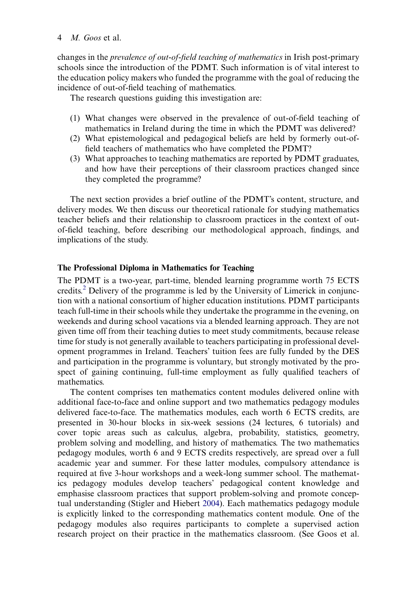changes in the prevalence of out-of-field teaching of mathematics in Irish post-primary schools since the introduction of the PDMT. Such information is of vital interest to the education policy makers who funded the programme with the goal of reducing the incidence of out-of-field teaching of mathematics.

The research questions guiding this investigation are:

- (1) What changes were observed in the prevalence of out-of-field teaching of mathematics in Ireland during the time in which the PDMT was delivered?
- (2) What epistemological and pedagogical beliefs are held by formerly out-offield teachers of mathematics who have completed the PDMT?
- (3) What approaches to teaching mathematics are reported by PDMT graduates, and how have their perceptions of their classroom practices changed since they completed the programme?

The next section provides a brief outline of the PDMT's content, structure, and delivery modes. We then discuss our theoretical rationale for studying mathematics teacher beliefs and their relationship to classroom practices in the context of outof-field teaching, before describing our methodological approach, findings, and implications of the study.

# The Professional Diploma in Mathematics for Teaching

The PDMT is a two-year, part-time, blended learning programme worth 75 ECTS credits.[2](#page-19-1) Delivery of the programme is led by the University of Limerick in conjunction with a national consortium of higher education institutions. PDMT participants teach full-time in their schools while they undertake the programme in the evening, on weekends and during school vacations via a blended learning approach. They are not given time off from their teaching duties to meet study commitments, because release time for study is not generally available to teachers participating in professional development programmes in Ireland. Teachers' tuition fees are fully funded by the DES and participation in the programme is voluntary, but strongly motivated by the prospect of gaining continuing, full-time employment as fully qualified teachers of mathematics.

<span id="page-5-0"></span>The content comprises ten mathematics content modules delivered online with additional face-to-face and online support and two mathematics pedagogy modules delivered face-to-face. The mathematics modules, each worth 6 ECTS credits, are presented in 30-hour blocks in six-week sessions (24 lectures, 6 tutorials) and cover topic areas such as calculus, algebra, probability, statistics, geometry, problem solving and modelling, and history of mathematics. The two mathematics pedagogy modules, worth 6 and 9 ECTS credits respectively, are spread over a full academic year and summer. For these latter modules, compulsory attendance is required at five 3-hour workshops and a week-long summer school. The mathematics pedagogy modules develop teachers' pedagogical content knowledge and emphasise classroom practices that support problem-solving and promote conceptual understanding (Stigler and Hiebert [2004\)](#page-22-6). Each mathematics pedagogy module is explicitly linked to the corresponding mathematics content module. One of the pedagogy modules also requires participants to complete a supervised action research project on their practice in the mathematics classroom. (See Goos et al.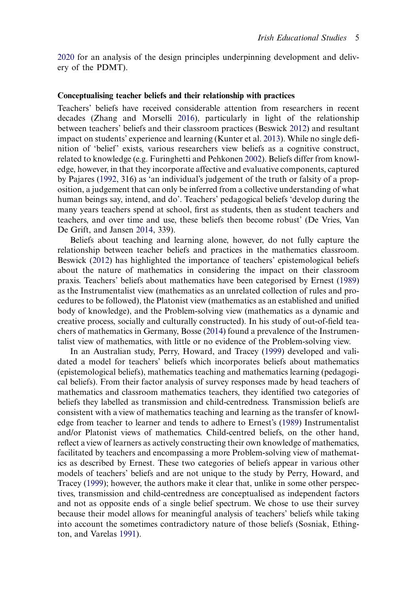[2020](#page-21-7) for an analysis of the design principles underpinning development and delivery of the PDMT).

#### Conceptualising teacher beliefs and their relationship with practices

<span id="page-6-9"></span><span id="page-6-6"></span><span id="page-6-5"></span><span id="page-6-4"></span>Teachers' beliefs have received considerable attention from researchers in recent decades (Zhang and Morselli [2016](#page-22-7)), particularly in light of the relationship between teachers' beliefs and their classroom practices (Beswick [2012\)](#page-20-0) and resultant impact on students' experience and learning (Kunter et al. [2013\)](#page-21-9). While no single definition of 'belief' exists, various researchers view beliefs as a cognitive construct, related to knowledge (e.g. Furinghetti and Pehkonen [2002\)](#page-21-10). Beliefs differ from knowledge, however, in that they incorporate affective and evaluative components, captured by Pajares ([1992,](#page-22-8) 316) as 'an individual's judgement of the truth or falsity of a proposition, a judgement that can only be inferred from a collective understanding of what human beings say, intend, and do'. Teachers' pedagogical beliefs 'develop during the many years teachers spend at school, first as students, then as student teachers and teachers, and over time and use, these beliefs then become robust' (De Vries, Van De Grift, and Jansen [2014](#page-21-11), 339).

<span id="page-6-2"></span><span id="page-6-0"></span>Beliefs about teaching and learning alone, however, do not fully capture the relationship between teacher beliefs and practices in the mathematics classroom. Beswick [\(2012](#page-20-0)) has highlighted the importance of teachers' epistemological beliefs about the nature of mathematics in considering the impact on their classroom praxis. Teachers' beliefs about mathematics have been categorised by Ernest ([1989\)](#page-21-12) as the Instrumentalist view (mathematics as an unrelated collection of rules and procedures to be followed), the Platonist view (mathematics as an established and unified body of knowledge), and the Problem-solving view (mathematics as a dynamic and creative process, socially and culturally constructed). In his study of out-of-field teachers of mathematics in Germany, Bosse ([2014\)](#page-21-13) found a prevalence of the Instrumentalist view of mathematics, with little or no evidence of the Problem-solving view.

<span id="page-6-8"></span><span id="page-6-7"></span><span id="page-6-3"></span><span id="page-6-1"></span>In an Australian study, Perry, Howard, and Tracey [\(1999](#page-22-9)) developed and validated a model for teachers' beliefs which incorporates beliefs about mathematics (epistemological beliefs), mathematics teaching and mathematics learning (pedagogical beliefs). From their factor analysis of survey responses made by head teachers of mathematics and classroom mathematics teachers, they identified two categories of beliefs they labelled as transmission and child-centredness. Transmission beliefs are consistent with a view of mathematics teaching and learning as the transfer of knowledge from teacher to learner and tends to adhere to Ernest's ([1989\)](#page-21-12) Instrumentalist and/or Platonist views of mathematics. Child-centred beliefs, on the other hand, reflect a view of learners as actively constructing their own knowledge of mathematics, facilitated by teachers and encompassing a more Problem-solving view of mathematics as described by Ernest. These two categories of beliefs appear in various other models of teachers' beliefs and are not unique to the study by Perry, Howard, and Tracey [\(1999](#page-22-9)); however, the authors make it clear that, unlike in some other perspectives, transmission and child-centredness are conceptualised as independent factors and not as opposite ends of a single belief spectrum. We chose to use their survey because their model allows for meaningful analysis of teachers' beliefs while taking into account the sometimes contradictory nature of those beliefs (Sosniak, Ethington, and Varelas [1991](#page-22-10)).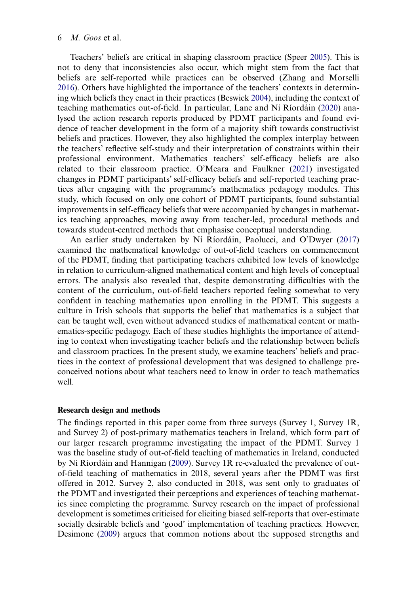<span id="page-7-1"></span><span id="page-7-0"></span>Teachers' beliefs are critical in shaping classroom practice (Speer [2005](#page-22-11)). This is not to deny that inconsistencies also occur, which might stem from the fact that beliefs are self-reported while practices can be observed (Zhang and Morselli [2016](#page-22-7)). Others have highlighted the importance of the teachers' contexts in determining which beliefs they enact in their practices (Beswick [2004](#page-20-1)), including the context of teaching mathematics out-of-field. In particular, Lane and Ní Ríordáin ([2020\)](#page-21-8) analysed the action research reports produced by PDMT participants and found evidence of teacher development in the form of a majority shift towards constructivist beliefs and practices. However, they also highlighted the complex interplay between the teachers' reflective self-study and their interpretation of constraints within their professional environment. Mathematics teachers' self-efficacy beliefs are also related to their classroom practice. O'Meara and Faulkner [\(2021](#page-22-5)) investigated changes in PDMT participants' self-efficacy beliefs and self-reported teaching practices after engaging with the programme's mathematics pedagogy modules. This study, which focused on only one cohort of PDMT participants, found substantial improvements in self-efficacy beliefs that were accompanied by changes in mathematics teaching approaches, moving away from teacher-led, procedural methods and towards student-centred methods that emphasise conceptual understanding.

An earlier study undertaken by Ní Ríordáin, Paolucci, and O'Dwyer ([2017\)](#page-22-4) examined the mathematical knowledge of out-of-field teachers on commencement of the PDMT, finding that participating teachers exhibited low levels of knowledge in relation to curriculum-aligned mathematical content and high levels of conceptual errors. The analysis also revealed that, despite demonstrating difficulties with the content of the curriculum, out-of-field teachers reported feeling somewhat to very confident in teaching mathematics upon enrolling in the PDMT. This suggests a culture in Irish schools that supports the belief that mathematics is a subject that can be taught well, even without advanced studies of mathematical content or mathematics-specific pedagogy. Each of these studies highlights the importance of attending to context when investigating teacher beliefs and the relationship between beliefs and classroom practices. In the present study, we examine teachers' beliefs and practices in the context of professional development that was designed to challenge preconceived notions about what teachers need to know in order to teach mathematics well.

#### Research design and methods

The findings reported in this paper come from three surveys (Survey 1, Survey 1R, and Survey 2) of post-primary mathematics teachers in Ireland, which form part of our larger research programme investigating the impact of the PDMT. Survey 1 was the baseline study of out-of-field teaching of mathematics in Ireland, conducted by Ní Ríordáin and Hannigan ([2009\)](#page-22-2). Survey 1R re-evaluated the prevalence of outof-field teaching of mathematics in 2018, several years after the PDMT was first offered in 2012. Survey 2, also conducted in 2018, was sent only to graduates of the PDMT and investigated their perceptions and experiences of teaching mathematics since completing the programme. Survey research on the impact of professional development is sometimes criticised for eliciting biased self-reports that over-estimate socially desirable beliefs and 'good' implementation of teaching practices. However, Desimone [\(2009](#page-21-6)) argues that common notions about the supposed strengths and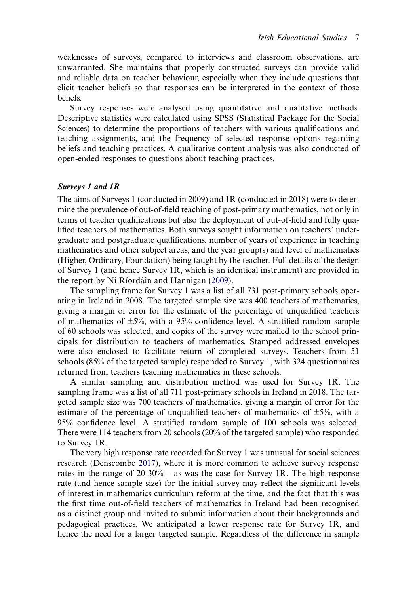weaknesses of surveys, compared to interviews and classroom observations, are unwarranted. She maintains that properly constructed surveys can provide valid and reliable data on teacher behaviour, especially when they include questions that elicit teacher beliefs so that responses can be interpreted in the context of those beliefs.

Survey responses were analysed using quantitative and qualitative methods. Descriptive statistics were calculated using SPSS (Statistical Package for the Social Sciences) to determine the proportions of teachers with various qualifications and teaching assignments, and the frequency of selected response options regarding beliefs and teaching practices. A qualitative content analysis was also conducted of open-ended responses to questions about teaching practices.

#### Surveys 1 and 1R

The aims of Surveys 1 (conducted in 2009) and 1R (conducted in 2018) were to determine the prevalence of out-of-field teaching of post-primary mathematics, not only in terms of teacher qualifications but also the deployment of out-of-field and fully qualified teachers of mathematics. Both surveys sought information on teachers' undergraduate and postgraduate qualifications, number of years of experience in teaching mathematics and other subject areas, and the year group(s) and level of mathematics (Higher, Ordinary, Foundation) being taught by the teacher. Full details of the design of Survey 1 (and hence Survey 1R, which is an identical instrument) are provided in the report by Ní Ríordáin and Hannigan [\(2009](#page-22-2)).

The sampling frame for Survey 1 was a list of all 731 post-primary schools operating in Ireland in 2008. The targeted sample size was 400 teachers of mathematics, giving a margin of error for the estimate of the percentage of unqualified teachers of mathematics of  $\pm 5\%$ , with a 95% confidence level. A stratified random sample of 60 schools was selected, and copies of the survey were mailed to the school principals for distribution to teachers of mathematics. Stamped addressed envelopes were also enclosed to facilitate return of completed surveys. Teachers from 51 schools (85% of the targeted sample) responded to Survey 1, with 324 questionnaires returned from teachers teaching mathematics in these schools.

A similar sampling and distribution method was used for Survey 1R. The sampling frame was a list of all 711 post-primary schools in Ireland in 2018. The targeted sample size was 700 teachers of mathematics, giving a margin of error for the estimate of the percentage of unqualified teachers of mathematics of  $\pm 5\%$ , with a 95% confidence level. A stratified random sample of 100 schools was selected. There were 114 teachers from 20 schools (20% of the targeted sample) who responded to Survey 1R.

<span id="page-8-0"></span>The very high response rate recorded for Survey 1 was unusual for social sciences research (Denscombe [2017\)](#page-21-14), where it is more common to achieve survey response rates in the range of 20-30% – as was the case for Survey 1R. The high response rate (and hence sample size) for the initial survey may reflect the significant levels of interest in mathematics curriculum reform at the time, and the fact that this was the first time out-of-field teachers of mathematics in Ireland had been recognised as a distinct group and invited to submit information about their backgrounds and pedagogical practices. We anticipated a lower response rate for Survey 1R, and hence the need for a larger targeted sample. Regardless of the difference in sample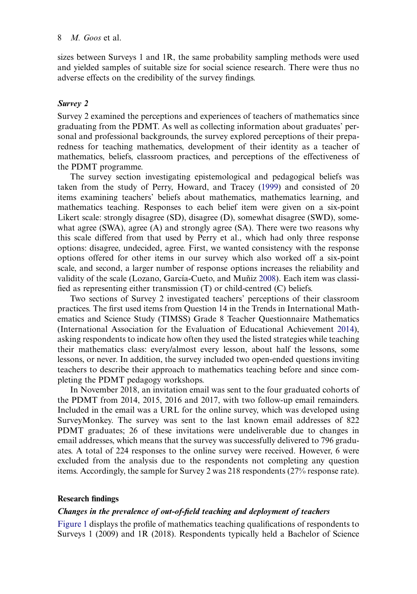sizes between Surveys 1 and 1R, the same probability sampling methods were used and yielded samples of suitable size for social science research. There were thus no adverse effects on the credibility of the survey findings.

# Survey 2

Survey 2 examined the perceptions and experiences of teachers of mathematics since graduating from the PDMT. As well as collecting information about graduates' personal and professional backgrounds, the survey explored perceptions of their preparedness for teaching mathematics, development of their identity as a teacher of mathematics, beliefs, classroom practices, and perceptions of the effectiveness of the PDMT programme.

The survey section investigating epistemological and pedagogical beliefs was taken from the study of Perry, Howard, and Tracey [\(1999](#page-22-9)) and consisted of 20 items examining teachers' beliefs about mathematics, mathematics learning, and mathematics teaching. Responses to each belief item were given on a six-point Likert scale: strongly disagree (SD), disagree (D), somewhat disagree (SWD), somewhat agree (SWA), agree (A) and strongly agree (SA). There were two reasons why this scale differed from that used by Perry et al., which had only three response options: disagree, undecided, agree. First, we wanted consistency with the response options offered for other items in our survey which also worked off a six-point scale, and second, a larger number of response options increases the reliability and validity of the scale (Lozano, García-Cueto, and Muñiz [2008](#page-21-15)). Each item was classified as representing either transmission (T) or child-centred (C) beliefs.

<span id="page-9-1"></span><span id="page-9-0"></span>Two sections of Survey 2 investigated teachers' perceptions of their classroom practices. The first used items from Question 14 in the Trends in International Mathematics and Science Study (TIMSS) Grade 8 Teacher Questionnaire Mathematics (International Association for the Evaluation of Educational Achievement [2014](#page-21-16)), asking respondents to indicate how often they used the listed strategies while teaching their mathematics class: every/almost every lesson, about half the lessons, some lessons, or never. In addition, the survey included two open-ended questions inviting teachers to describe their approach to mathematics teaching before and since completing the PDMT pedagogy workshops.

In November 2018, an invitation email was sent to the four graduated cohorts of the PDMT from 2014, 2015, 2016 and 2017, with two follow-up email remainders. Included in the email was a URL for the online survey, which was developed using SurveyMonkey. The survey was sent to the last known email addresses of 822 PDMT graduates; 26 of these invitations were undeliverable due to changes in email addresses, which means that the survey was successfully delivered to 796 graduates. A total of 224 responses to the online survey were received. However, 6 were excluded from the analysis due to the respondents not completing any question items. Accordingly, the sample for Survey 2 was 218 respondents (27% response rate).

# Research findings

# Changes in the prevalence of out-of-field teaching and deployment of teachers

[Figure 1](#page-10-0) displays the profile of mathematics teaching qualifications of respondents to Surveys 1 (2009) and 1R (2018). Respondents typically held a Bachelor of Science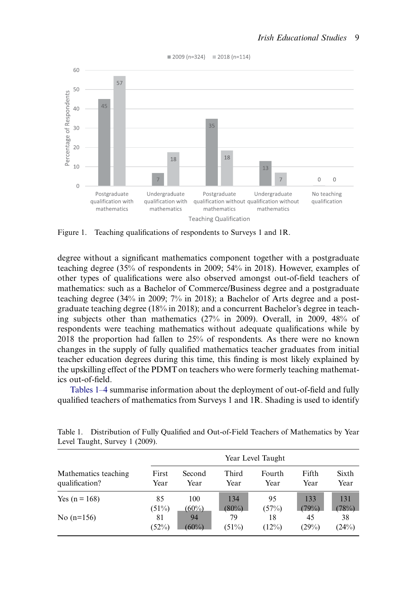<span id="page-10-0"></span>

 $12009 (n=324)$   $12018 (n=114)$ 

Figure 1. Teaching qualifications of respondents to Surveys 1 and 1R.

degree without a significant mathematics component together with a postgraduate teaching degree (35% of respondents in 2009; 54% in 2018). However, examples of other types of qualifications were also observed amongst out-of-field teachers of mathematics: such as a Bachelor of Commerce/Business degree and a postgraduate teaching degree (34% in 2009; 7% in 2018); a Bachelor of Arts degree and a postgraduate teaching degree (18% in 2018); and a concurrent Bachelor's degree in teaching subjects other than mathematics (27% in 2009). Overall, in 2009, 48% of respondents were teaching mathematics without adequate qualifications while by 2018 the proportion had fallen to 25% of respondents. As there were no known changes in the supply of fully qualified mathematics teacher graduates from initial teacher education degrees during this time, this finding is most likely explained by the upskilling effect of the PDMT on teachers who were formerly teaching mathematics out-of-field.

Tables 1–4 summarise information about the deployment of out-of-field and fully qualified teachers of mathematics from Surveys 1 and 1R. Shading is used to identify

|                      | Year Level Taught |          |       |        |       |       |
|----------------------|-------------------|----------|-------|--------|-------|-------|
| Mathematics teaching | First             | Second   | Third | Fourth | Fifth | Sixth |
| qualification?       | Year              | Year     | Year  | Year   | Year  | Year  |
| Yes $(n = 168)$      | 85                | 100      | 134   | 95     | 133   | 131   |
|                      | (51%)             | $(60\%)$ | (80%) | (57%)  | (79%) | (78%) |
| No $(n=156)$         | 81                | 94       | 79    | 18     | 45    | 38    |
|                      | (52%)             | $(60\%)$ | (51%) | (12%)  | (29%) | (24%) |

<span id="page-10-1"></span>Table 1. Distribution of Fully Qualified and Out-of-Field Teachers of Mathematics by Year Level Taught, Survey 1 (2009).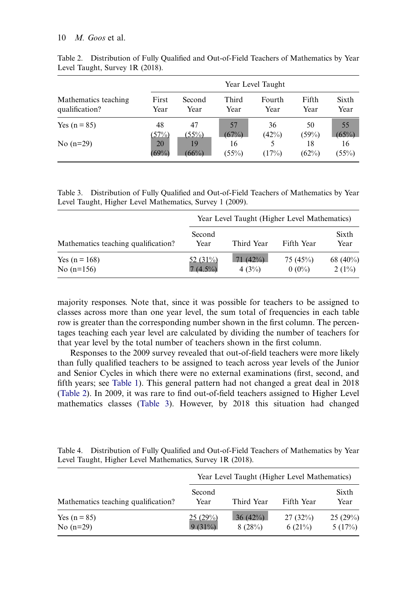|                      |             | Year Level Taught |                |        |             |                |  |
|----------------------|-------------|-------------------|----------------|--------|-------------|----------------|--|
| Mathematics teaching | First       | Second            | Third          | Fourth | Fifth       | Sixth          |  |
| qualification?       | Year        | Year              | Year           | Year   | Year        | Year           |  |
| Yes $(n = 85)$       | 48          | 47                | 57             | 36     | 50          | 55             |  |
|                      | (57%)       | $(55\%)$          | (67%)          | (42%)  | (59%)       | $(65\%)$       |  |
| No $(n=29)$          | 20<br>(69%) | 19<br>(66%)       | 16<br>$(55\%)$ | (17%)  | 18<br>(62%) | 16<br>$(55\%)$ |  |

<span id="page-11-0"></span>Table 2. Distribution of Fully Qualified and Out-of-Field Teachers of Mathematics by Year Level Taught, Survey 1R (2018).

<span id="page-11-1"></span>Table 3. Distribution of Fully Qualified and Out-of-Field Teachers of Mathematics by Year Level Taught, Higher Level Mathematics, Survey 1 (2009).

|                                     | Year Level Taught (Higher Level Mathematics) |                  |                     |                      |  |  |
|-------------------------------------|----------------------------------------------|------------------|---------------------|----------------------|--|--|
| Mathematics teaching qualification? | Second<br>Year                               | Third Year       | Fifth Year          | Sixth<br>Year        |  |  |
| Yes $(n = 168)$<br>No $(n=156)$     | 52 $(31\%)$<br>$7(4.5\%)$                    | 71(42%)<br>4(3%) | 75(45%)<br>$0(0\%)$ | 68 $(40\%)$<br>2(1%) |  |  |

majority responses. Note that, since it was possible for teachers to be assigned to classes across more than one year level, the sum total of frequencies in each table row is greater than the corresponding number shown in the first column. The percentages teaching each year level are calculated by dividing the number of teachers for that year level by the total number of teachers shown in the first column.

Responses to the 2009 survey revealed that out-of-field teachers were more likely than fully qualified teachers to be assigned to teach across year levels of the Junior and Senior Cycles in which there were no external examinations (first, second, and fifth years; see [Table 1](#page-10-1)). This general pattern had not changed a great deal in 2018 [\(Table 2\)](#page-11-0). In 2009, it was rare to find out-of-field teachers assigned to Higher Level mathematics classes ([Table 3](#page-11-1)). However, by 2018 this situation had changed

<span id="page-11-2"></span>Table 4. Distribution of Fully Qualified and Out-of-Field Teachers of Mathematics by Year Level Taught, Higher Level Mathematics, Survey 1R (2018).

|                                     | Year Level Taught (Higher Level Mathematics) |                      |                   |                   |  |  |
|-------------------------------------|----------------------------------------------|----------------------|-------------------|-------------------|--|--|
| Mathematics teaching qualification? | Second<br>Year                               | Third Year           | Fifth Year        | Sixth<br>Year     |  |  |
| Yes $(n = 85)$<br>No $(n=29)$       | 25(29%)<br>$9(31\%)$                         | $36(42\%)$<br>8(28%) | 27(32%)<br>6(21%) | 25(29%)<br>5(17%) |  |  |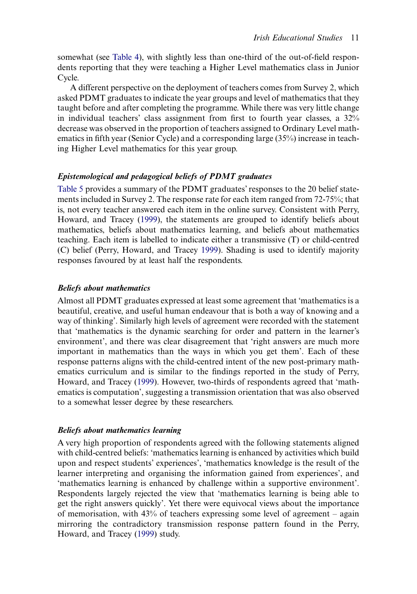somewhat (see [Table 4](#page-11-2)), with slightly less than one-third of the out-of-field respondents reporting that they were teaching a Higher Level mathematics class in Junior Cycle.

A different perspective on the deployment of teachers comes from Survey 2, which asked PDMT graduates to indicate the year groups and level of mathematics that they taught before and after completing the programme. While there was very little change in individual teachers' class assignment from first to fourth year classes, a 32% decrease was observed in the proportion of teachers assigned to Ordinary Level mathematics in fifth year (Senior Cycle) and a corresponding large (35%) increase in teaching Higher Level mathematics for this year group.

# Epistemological and pedagogical beliefs of PDMT graduates

[Table 5](#page-13-0) provides a summary of the PDMT graduates'responses to the 20 belief statements included in Survey 2. The response rate for each item ranged from 72-75%; that is, not every teacher answered each item in the online survey. Consistent with Perry, Howard, and Tracey [\(1999](#page-22-9)), the statements are grouped to identify beliefs about mathematics, beliefs about mathematics learning, and beliefs about mathematics teaching. Each item is labelled to indicate either a transmissive (T) or child-centred (C) belief (Perry, Howard, and Tracey [1999](#page-22-9)). Shading is used to identify majority responses favoured by at least half the respondents.

#### Beliefs about mathematics

Almost all PDMT graduates expressed at least some agreement that 'mathematics is a beautiful, creative, and useful human endeavour that is both a way of knowing and a way of thinking'. Similarly high levels of agreement were recorded with the statement that 'mathematics is the dynamic searching for order and pattern in the learner's environment', and there was clear disagreement that 'right answers are much more important in mathematics than the ways in which you get them'. Each of these response patterns aligns with the child-centred intent of the new post-primary mathematics curriculum and is similar to the findings reported in the study of Perry, Howard, and Tracey [\(1999](#page-22-9)). However, two-thirds of respondents agreed that 'mathematics is computation', suggesting a transmission orientation that was also observed to a somewhat lesser degree by these researchers.

#### Beliefs about mathematics learning

A very high proportion of respondents agreed with the following statements aligned with child-centred beliefs: 'mathematics learning is enhanced by activities which build upon and respect students' experiences', 'mathematics knowledge is the result of the learner interpreting and organising the information gained from experiences', and 'mathematics learning is enhanced by challenge within a supportive environment'. Respondents largely rejected the view that 'mathematics learning is being able to get the right answers quickly'. Yet there were equivocal views about the importance of memorisation, with 43% of teachers expressing some level of agreement – again mirroring the contradictory transmission response pattern found in the Perry, Howard, and Tracey [\(1999](#page-22-9)) study.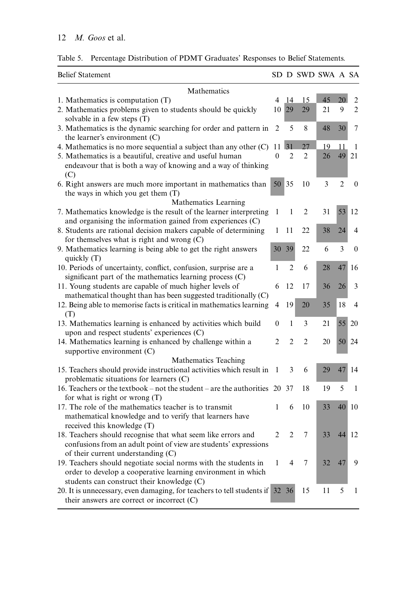| <b>Belief Statement</b>                                                                                                     |                |                | SD D SWD SWA A SA |    |                |                |  |
|-----------------------------------------------------------------------------------------------------------------------------|----------------|----------------|-------------------|----|----------------|----------------|--|
| Mathematics                                                                                                                 |                |                |                   |    |                |                |  |
| 1. Mathematics is computation $(T)$                                                                                         | 4              | 14             | 15                | 45 | 20             | 2              |  |
| 2. Mathematics problems given to students should be quickly<br>solvable in a few steps (T)                                  | 10             | 29             | 29                | 21 | 9              | $\overline{c}$ |  |
| 3. Mathematics is the dynamic searching for order and pattern in<br>the learner's environment $(C)$                         | $\overline{2}$ | 5              | 8                 | 48 | 30             | 7              |  |
| 4. Mathematics is no more sequential a subject than any other $(C)$                                                         | 11             | 31             | 27                | 19 | 11             | 1              |  |
| 5. Mathematics is a beautiful, creative and useful human                                                                    | $\theta$       | $\mathfrak{D}$ | $\overline{2}$    | 26 | 49             | 21             |  |
| endeavour that is both a way of knowing and a way of thinking<br>(C)                                                        |                |                |                   |    |                |                |  |
| 6. Right answers are much more important in mathematics than                                                                |                | 50 35          | 10                | 3  | $\overline{2}$ | $\theta$       |  |
| the ways in which you get them (T)                                                                                          |                |                |                   |    |                |                |  |
| Mathematics Learning                                                                                                        |                |                |                   |    |                |                |  |
| 7. Mathematics knowledge is the result of the learner interpreting                                                          | 1              | 1              | $\overline{2}$    | 31 | 53             | 12             |  |
| and organising the information gained from experiences (C)                                                                  |                |                |                   |    |                |                |  |
| 8. Students are rational decision makers capable of determining                                                             | 1              | 11             | 22                | 38 | 24             | 4              |  |
| for themselves what is right and wrong (C)                                                                                  |                |                |                   |    |                |                |  |
| 9. Mathematics learning is being able to get the right answers                                                              | 30             | 39             | 22                | 6  | 3              | $\theta$       |  |
| quickly (T)                                                                                                                 | 1              | $\mathfrak{D}$ | 6                 | 28 | 47             | 16             |  |
| 10. Periods of uncertainty, conflict, confusion, surprise are a<br>significant part of the mathematics learning process (C) |                |                |                   |    |                |                |  |
| 11. Young students are capable of much higher levels of                                                                     | 6              | 12             | 17                | 36 | 26             | 3              |  |
| mathematical thought than has been suggested traditionally (C)                                                              |                |                |                   |    |                |                |  |
| 12. Being able to memorise facts is critical in mathematics learning                                                        | 4              | 19             | 20                | 35 | 18             | 4              |  |
| (T)                                                                                                                         |                |                |                   |    |                |                |  |
| 13. Mathematics learning is enhanced by activities which build                                                              | 0              | $\mathbf{1}$   | 3                 | 21 | 55             | 20             |  |
| upon and respect students' experiences (C)                                                                                  |                |                |                   |    |                |                |  |
| 14. Mathematics learning is enhanced by challenge within a                                                                  | $\overline{c}$ | $\overline{2}$ | $\mathfrak{D}$    | 20 | 50             | 24             |  |
| supportive environment (C)                                                                                                  |                |                |                   |    |                |                |  |
| Mathematics Teaching                                                                                                        |                |                |                   |    |                |                |  |
| 15. Teachers should provide instructional activities which result in                                                        | -1             | 3              | 6                 | 29 | 47             | 14             |  |
| problematic situations for learners (C)                                                                                     |                |                |                   |    |                |                |  |
| 16. Teachers or the textbook – not the student – are the authorities $20$                                                   |                | 37             | 18                | 19 | 5              | 1              |  |
| for what is right or wrong $(T)$                                                                                            |                |                |                   |    |                |                |  |
| 17. The role of the mathematics teacher is to transmit                                                                      | 1              | 6              | 10                | 33 | 40             | 10             |  |
| mathematical knowledge and to verify that learners have                                                                     |                |                |                   |    |                |                |  |
| received this knowledge (T)                                                                                                 |                |                |                   |    |                |                |  |
| 18. Teachers should recognise that what seem like errors and                                                                | $\overline{2}$ | $\overline{c}$ | 7                 | 33 | 44             | 12             |  |
| confusions from an adult point of view are students' expressions<br>of their current understanding (C)                      |                |                |                   |    |                |                |  |
| 19. Teachers should negotiate social norms with the students in                                                             | 1              | 4              | 7                 | 32 | 47             | 9              |  |
| order to develop a cooperative learning environment in which                                                                |                |                |                   |    |                |                |  |
| students can construct their knowledge (C)                                                                                  |                |                |                   |    |                |                |  |
| 20. It is unnecessary, even damaging, for teachers to tell students if 32 36                                                |                |                | 15                | 11 | 5              | 1              |  |
| their answers are correct or incorrect (C)                                                                                  |                |                |                   |    |                |                |  |

<span id="page-13-0"></span>Table 5. Percentage Distribution of PDMT Graduates' Responses to Belief Statements.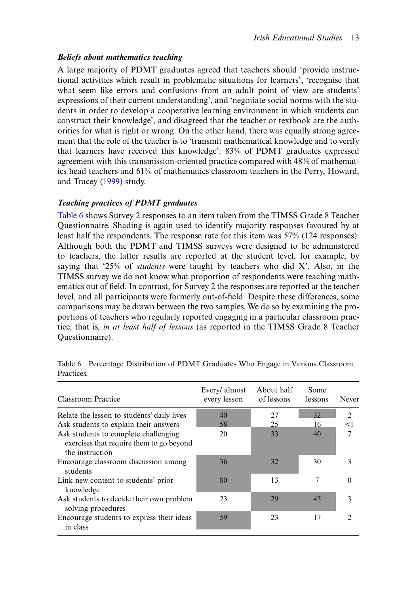# Beliefs about mathematics teaching

A large majority of PDMT graduates agreed that teachers should 'provide instructional activities which result in problematic situations for learners', 'recognise that what seem like errors and confusions from an adult point of view are students' expressions of their current understanding', and 'negotiate social norms with the students in order to develop a cooperative learning environment in which students can construct their knowledge', and disagreed that the teacher or textbook are the authorities for what is right or wrong. On the other hand, there was equally strong agreement that the role of the teacher is to 'transmit mathematical knowledge and to verify that learners have received this knowledge': 83% of PDMT graduates expressed agreement with this transmission-oriented practice compared with 48% of mathematics head teachers and 61% of mathematics classroom teachers in the Perry, Howard, and Tracey ([1999\)](#page-22-9) study.

#### Teaching practices of PDMT graduates

[Table 6](#page-14-0) shows Survey 2 responses to an item taken from the TIMSS Grade 8 Teacher Questionnaire. Shading is again used to identify majority responses favoured by at least half the respondents. The response rate for this item was 57% (124 responses). Although both the PDMT and TIMSS surveys were designed to be administered to teachers, the latter results are reported at the student level, for example, by saying that  $25\%$  of *students* were taught by teachers who did X'. Also, in the TIMSS survey we do not know what proportion of respondents were teaching mathematics out of field. In contrast, for Survey 2 the responses are reported at the teacher level, and all participants were formerly out-of-field. Despite these differences, some comparisons may be drawn between the two samples. We do so by examining the proportions of teachers who regularly reported engaging in a particular classroom practice, that is, in at least half of lessons (as reported in the TIMSS Grade 8 Teacher Questionnaire).

| Classroom Practice                                                                                  | Every/ almost<br>every lesson | About half<br>of lessons | Some<br>lessons | Never          |
|-----------------------------------------------------------------------------------------------------|-------------------------------|--------------------------|-----------------|----------------|
| Relate the lesson to students' daily lives                                                          | 40                            | 27                       | 32              | $\mathfrak{D}$ |
| Ask students to explain their answers                                                               | 58                            | 25                       | 16              | $<$ 1          |
| Ask students to complete challenging<br>exercises that require them to go beyond<br>the instruction | 20                            | 33                       | 40              |                |
| Encourage classroom discussion among<br>students                                                    | 36                            | 32                       | 30              | 3              |
| Link new content to students' prior<br>knowledge                                                    | 80                            | 13                       | 7               | 0              |
| Ask students to decide their own problem<br>solving procedures                                      | 23                            | 29                       | 45              | 3              |
| Encourage students to express their ideas<br>in class                                               | 59                            | 23                       | 17              | 2              |

<span id="page-14-0"></span>Table 6 Percentage Distribution of PDMT Graduates Who Engage in Various Classroom Practices.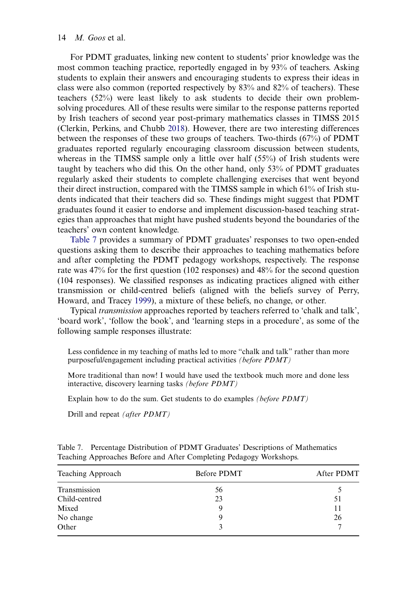<span id="page-15-1"></span>For PDMT graduates, linking new content to students' prior knowledge was the most common teaching practice, reportedly engaged in by 93% of teachers. Asking students to explain their answers and encouraging students to express their ideas in class were also common (reported respectively by 83% and 82% of teachers). These teachers (52%) were least likely to ask students to decide their own problemsolving procedures. All of these results were similar to the response patterns reported by Irish teachers of second year post-primary mathematics classes in TIMSS 2015 (Clerkin, Perkins, and Chubb [2018\)](#page-21-17). However, there are two interesting differences between the responses of these two groups of teachers. Two-thirds (67%) of PDMT graduates reported regularly encouraging classroom discussion between students, whereas in the TIMSS sample only a little over half (55%) of Irish students were taught by teachers who did this. On the other hand, only 53% of PDMT graduates regularly asked their students to complete challenging exercises that went beyond their direct instruction, compared with the TIMSS sample in which 61% of Irish students indicated that their teachers did so. These findings might suggest that PDMT graduates found it easier to endorse and implement discussion-based teaching strategies than approaches that might have pushed students beyond the boundaries of the teachers' own content knowledge.

[Table 7](#page-15-0) provides a summary of PDMT graduates' responses to two open-ended questions asking them to describe their approaches to teaching mathematics before and after completing the PDMT pedagogy workshops, respectively. The response rate was 47% for the first question (102 responses) and 48% for the second question (104 responses). We classified responses as indicating practices aligned with either transmission or child-centred beliefs (aligned with the beliefs survey of Perry, Howard, and Tracey [1999](#page-22-9)), a mixture of these beliefs, no change, or other.

Typical transmission approaches reported by teachers referred to 'chalk and talk', 'board work', 'follow the book', and 'learning steps in a procedure', as some of the following sample responses illustrate:

Less confidence in my teaching of maths led to more "chalk and talk" rather than more purposeful/engagement including practical activities (before PDMT)

More traditional than now! I would have used the textbook much more and done less interactive, discovery learning tasks (before PDMT)

Explain how to do the sum. Get students to do examples (before PDMT)

Drill and repeat (after PDMT)

| Teaching Approach | Before PDMT | After PDMT |  |  |
|-------------------|-------------|------------|--|--|
| Transmission      | 56          |            |  |  |
| Child-centred     | 23          | 51         |  |  |
| Mixed             | 9           | 11         |  |  |
| No change         | g           | 26         |  |  |
| Other             |             | 7          |  |  |

<span id="page-15-0"></span>Table 7. Percentage Distribution of PDMT Graduates' Descriptions of Mathematics Teaching Approaches Before and After Completing Pedagogy Workshops.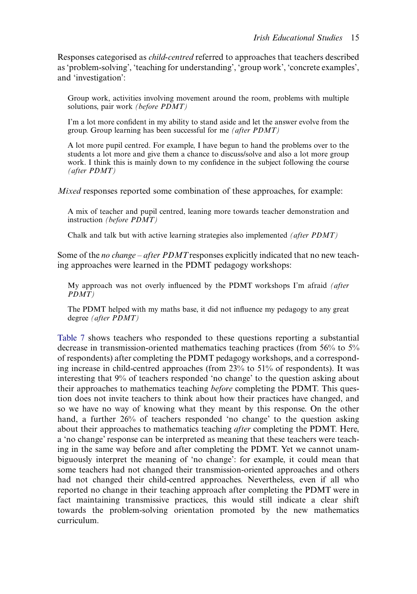Responses categorised as child-centred referred to approaches that teachers described as 'problem-solving', 'teaching for understanding', 'group work', 'concrete examples', and 'investigation':

Group work, activities involving movement around the room, problems with multiple solutions, pair work (before PDMT)

I'm a lot more confident in my ability to stand aside and let the answer evolve from the group. Group learning has been successful for me (after PDMT)

A lot more pupil centred. For example, I have begun to hand the problems over to the students a lot more and give them a chance to discuss/solve and also a lot more group work. I think this is mainly down to my confidence in the subject following the course (after PDMT)

Mixed responses reported some combination of these approaches, for example:

A mix of teacher and pupil centred, leaning more towards teacher demonstration and instruction (before PDMT)

Chalk and talk but with active learning strategies also implemented (after PDMT)

Some of the *no change – after PDMT* responses explicitly indicated that no new teaching approaches were learned in the PDMT pedagogy workshops:

My approach was not overly influenced by the PDMT workshops I'm afraid *(after* PDMT)

The PDMT helped with my maths base, it did not influence my pedagogy to any great degree (after PDMT)

[Table 7](#page-15-0) shows teachers who responded to these questions reporting a substantial decrease in transmission-oriented mathematics teaching practices (from 56% to 5% of respondents) after completing the PDMT pedagogy workshops, and a corresponding increase in child-centred approaches (from 23% to 51% of respondents). It was interesting that 9% of teachers responded 'no change' to the question asking about their approaches to mathematics teaching before completing the PDMT. This question does not invite teachers to think about how their practices have changed, and so we have no way of knowing what they meant by this response. On the other hand, a further 26% of teachers responded 'no change' to the question asking about their approaches to mathematics teaching after completing the PDMT. Here, a 'no change' response can be interpreted as meaning that these teachers were teaching in the same way before and after completing the PDMT. Yet we cannot unambiguously interpret the meaning of 'no change': for example, it could mean that some teachers had not changed their transmission-oriented approaches and others had not changed their child-centred approaches. Nevertheless, even if all who reported no change in their teaching approach after completing the PDMT were in fact maintaining transmissive practices, this would still indicate a clear shift towards the problem-solving orientation promoted by the new mathematics curriculum.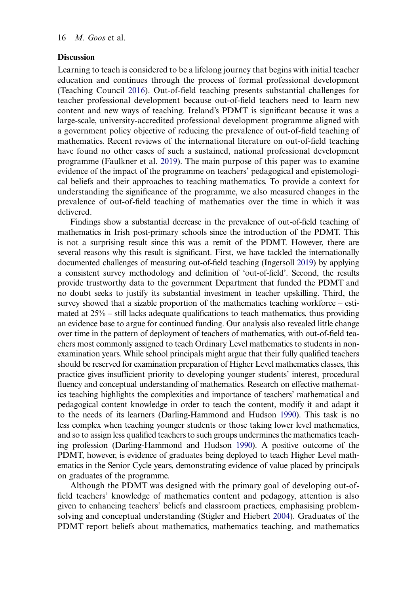#### **Discussion**

<span id="page-17-1"></span>Learning to teach is considered to be a lifelong journey that begins with initial teacher education and continues through the process of formal professional development (Teaching Council [2016\)](#page-22-12). Out-of-field teaching presents substantial challenges for teacher professional development because out-of-field teachers need to learn new content and new ways of teaching. Ireland's PDMT is significant because it was a large-scale, university-accredited professional development programme aligned with a government policy objective of reducing the prevalence of out-of-field teaching of mathematics. Recent reviews of the international literature on out-of-field teaching have found no other cases of such a sustained, national professional development programme (Faulkner et al. [2019\)](#page-21-3). The main purpose of this paper was to examine evidence of the impact of the programme on teachers' pedagogical and epistemological beliefs and their approaches to teaching mathematics. To provide a context for understanding the significance of the programme, we also measured changes in the prevalence of out-of-field teaching of mathematics over the time in which it was delivered.

Findings show a substantial decrease in the prevalence of out-of-field teaching of mathematics in Irish post-primary schools since the introduction of the PDMT. This is not a surprising result since this was a remit of the PDMT. However, there are several reasons why this result is significant. First, we have tackled the internationally documented challenges of measuring out-of-field teaching (Ingersoll [2019\)](#page-21-4) by applying a consistent survey methodology and definition of 'out-of-field'. Second, the results provide trustworthy data to the government Department that funded the PDMT and no doubt seeks to justify its substantial investment in teacher upskilling. Third, the survey showed that a sizable proportion of the mathematics teaching workforce – estimated at 25% – still lacks adequate qualifications to teach mathematics, thus providing an evidence base to argue for continued funding. Our analysis also revealed little change over time in the pattern of deployment of teachers of mathematics, with out-of-field teachers most commonly assigned to teach Ordinary Level mathematics to students in nonexamination years. While school principals might argue that their fully qualified teachers should be reserved for examination preparation of Higher Level mathematics classes, this practice gives insufficient priority to developing younger students' interest, procedural fluency and conceptual understanding of mathematics. Research on effective mathematics teaching highlights the complexities and importance of teachers' mathematical and pedagogical content knowledge in order to teach the content, modify it and adapt it to the needs of its learners (Darling-Hammond and Hudson [1990](#page-21-18)). This task is no less complex when teaching younger students or those taking lower level mathematics, and so to assign less qualified teachers to such groups undermines the mathematics teaching profession (Darling-Hammond and Hudson [1990](#page-21-18)). A positive outcome of the PDMT, however, is evidence of graduates being deployed to teach Higher Level mathematics in the Senior Cycle years, demonstrating evidence of value placed by principals on graduates of the programme.

<span id="page-17-0"></span>Although the PDMT was designed with the primary goal of developing out-offield teachers' knowledge of mathematics content and pedagogy, attention is also given to enhancing teachers' beliefs and classroom practices, emphasising problemsolving and conceptual understanding (Stigler and Hiebert [2004](#page-22-6)). Graduates of the PDMT report beliefs about mathematics, mathematics teaching, and mathematics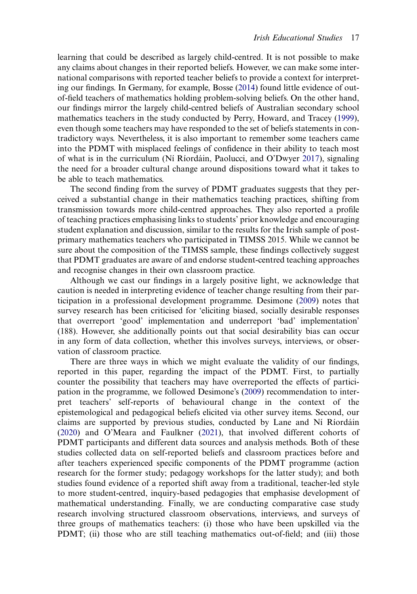learning that could be described as largely child-centred. It is not possible to make any claims about changes in their reported beliefs. However, we can make some international comparisons with reported teacher beliefs to provide a context for interpreting our findings. In Germany, for example, Bosse ([2014\)](#page-21-13) found little evidence of outof-field teachers of mathematics holding problem-solving beliefs. On the other hand, our findings mirror the largely child-centred beliefs of Australian secondary school mathematics teachers in the study conducted by Perry, Howard, and Tracey [\(1999](#page-22-9)), even though some teachers may have responded to the set of beliefs statements in contradictory ways. Nevertheless, it is also important to remember some teachers came into the PDMT with misplaced feelings of confidence in their ability to teach most of what is in the curriculum (Ní Ríordáin, Paolucci, and O'Dwyer [2017\)](#page-22-4), signaling the need for a broader cultural change around dispositions toward what it takes to be able to teach mathematics.

The second finding from the survey of PDMT graduates suggests that they perceived a substantial change in their mathematics teaching practices, shifting from transmission towards more child-centred approaches. They also reported a profile of teaching practices emphasising links to students' prior knowledge and encouraging student explanation and discussion, similar to the results for the Irish sample of postprimary mathematics teachers who participated in TIMSS 2015. While we cannot be sure about the composition of the TIMSS sample, these findings collectively suggest that PDMT graduates are aware of and endorse student-centred teaching approaches and recognise changes in their own classroom practice.

Although we cast our findings in a largely positive light, we acknowledge that caution is needed in interpreting evidence of teacher change resulting from their participation in a professional development programme. Desimone ([2009\)](#page-21-6) notes that survey research has been criticised for 'eliciting biased, socially desirable responses that overreport 'good' implementation and underreport 'bad' implementation' (188). However, she additionally points out that social desirability bias can occur in any form of data collection, whether this involves surveys, interviews, or observation of classroom practice.

There are three ways in which we might evaluate the validity of our findings, reported in this paper, regarding the impact of the PDMT. First, to partially counter the possibility that teachers may have overreported the effects of participation in the programme, we followed Desimone's [\(2009](#page-21-6)) recommendation to interpret teachers' self-reports of behavioural change in the context of the epistemological and pedagogical beliefs elicited via other survey items. Second, our claims are supported by previous studies, conducted by Lane and Ní Ríordáin [\(2020](#page-21-8)) and O'Meara and Faulkner [\(2021](#page-22-5)), that involved different cohorts of PDMT participants and different data sources and analysis methods. Both of these studies collected data on self-reported beliefs and classroom practices before and after teachers experienced specific components of the PDMT programme (action research for the former study; pedagogy workshops for the latter study); and both studies found evidence of a reported shift away from a traditional, teacher-led style to more student-centred, inquiry-based pedagogies that emphasise development of mathematical understanding. Finally, we are conducting comparative case study research involving structured classroom observations, interviews, and surveys of three groups of mathematics teachers: (i) those who have been upskilled via the PDMT; (ii) those who are still teaching mathematics out-of-field; and (iii) those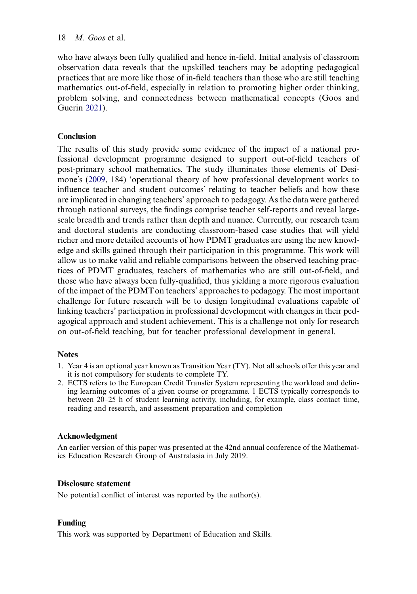who have always been fully qualified and hence in-field. Initial analysis of classroom observation data reveals that the upskilled teachers may be adopting pedagogical practices that are more like those of in-field teachers than those who are still teaching mathematics out-of-field, especially in relation to promoting higher order thinking, problem solving, and connectedness between mathematical concepts (Goos and Guerin [2021](#page-21-19)).

# <span id="page-19-2"></span>Conclusion

The results of this study provide some evidence of the impact of a national professional development programme designed to support out-of-field teachers of post-primary school mathematics. The study illuminates those elements of Desimone's ([2009,](#page-21-6) 184) 'operational theory of how professional development works to influence teacher and student outcomes' relating to teacher beliefs and how these are implicated in changing teachers' approach to pedagogy. As the data were gathered through national surveys, the findings comprise teacher self-reports and reveal largescale breadth and trends rather than depth and nuance. Currently, our research team and doctoral students are conducting classroom-based case studies that will yield richer and more detailed accounts of how PDMT graduates are using the new knowledge and skills gained through their participation in this programme. This work will allow us to make valid and reliable comparisons between the observed teaching practices of PDMT graduates, teachers of mathematics who are still out-of-field, and those who have always been fully-qualified, thus yielding a more rigorous evaluation of the impact of the PDMTon teachers' approaches to pedagogy. The most important challenge for future research will be to design longitudinal evaluations capable of linking teachers' participation in professional development with changes in their pedagogical approach and student achievement. This is a challenge not only for research on out-of-field teaching, but for teacher professional development in general.

# **Notes**

- <span id="page-19-0"></span>1. Year 4 is an optional year known as Transition Year (TY). Not all schools offer this year and it is not compulsory for students to complete TY.
- <span id="page-19-1"></span>2. ECTS refers to the European Credit Transfer System representing the workload and defining learning outcomes of a given course or programme. 1 ECTS typically corresponds to between 20–25 h of student learning activity, including, for example, class contact time, reading and research, and assessment preparation and completion

# Acknowledgment

An earlier version of this paper was presented at the 42nd annual conference of the Mathematics Education Research Group of Australasia in July 2019.

# Disclosure statement

No potential conflict of interest was reported by the author(s).

# Funding

This work was supported by Department of Education and Skills.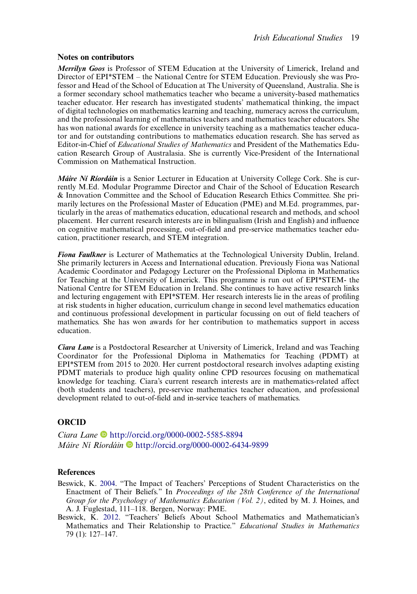#### Notes on contributors

Merrilyn Goos is Professor of STEM Education at the University of Limerick, Ireland and Director of EPI\*STEM – the National Centre for STEM Education. Previously she was Professor and Head of the School of Education at The University of Queensland, Australia. She is a former secondary school mathematics teacher who became a university-based mathematics teacher educator. Her research has investigated students' mathematical thinking, the impact of digital technologies on mathematics learning and teaching, numeracy across the curriculum, and the professional learning of mathematics teachers and mathematics teacher educators. She has won national awards for excellence in university teaching as a mathematics teacher educator and for outstanding contributions to mathematics education research. She has served as Editor-in-Chief of Educational Studies of Mathematics and President of the Mathematics Education Research Group of Australasia. She is currently Vice-President of the International Commission on Mathematical Instruction.

Máire Ní Ríordáin is a Senior Lecturer in Education at University College Cork. She is currently M.Ed. Modular Programme Director and Chair of the School of Education Research & Innovation Committee and the School of Education Research Ethics Committee. She primarily lectures on the Professional Master of Education (PME) and M.Ed. programmes, particularly in the areas of mathematics education, educational research and methods, and school placement. Her current research interests are in bilingualism (Irish and English) and influence on cognitive mathematical processing, out-of-field and pre-service mathematics teacher education, practitioner research, and STEM integration.

Fiona Faulkner is Lecturer of Mathematics at the Technological University Dublin, Ireland. She primarily lecturers in Access and International education. Previously Fiona was National Academic Coordinator and Pedagogy Lecturer on the Professional Diploma in Mathematics for Teaching at the University of Limerick. This programme is run out of EPI\*STEM- the National Centre for STEM Education in Ireland. She continues to have active research links and lecturing engagement with EPI\*STEM. Her research interests lie in the areas of profiling at risk students in higher education, curriculum change in second level mathematics education and continuous professional development in particular focussing on out of field teachers of mathematics. She has won awards for her contribution to mathematics support in access education.

Ciara Lane is a Postdoctoral Researcher at University of Limerick, Ireland and was Teaching Coordinator for the Professional Diploma in Mathematics for Teaching (PDMT) at EPI\*STEM from 2015 to 2020. Her current postdoctoral research involves adapting existing PDMT materials to produce high quality online CPD resources focusing on mathematical knowledge for teaching. Ciara's current research interests are in mathematics-related affect (both students and teachers), pre-service mathematics teacher education, and professional development related to out-of-field and in-service teachers of mathematics.

#### **ORCID**

Ciara Lane D <http://orcid.org/0000-0002-5585-8894> Máire Ní Ríordáin D<http://orcid.org/0000-0002-6434-9899>

#### **References**

- <span id="page-20-1"></span>Beswick, K. [2004](#page-7-0). "The Impact of Teachers' Perceptions of Student Characteristics on the Enactment of Their Beliefs." In Proceedings of the 28th Conference of the International Group for the Psychology of Mathematics Education (Vol. 2), edited by M. J. Hoines, and A. J. Fuglestad, 111–118. Bergen, Norway: PME.
- <span id="page-20-0"></span>Beswick, K. [2012](#page-6-0). "Teachers' Beliefs About School Mathematics and Mathematician's Mathematics and Their Relationship to Practice." Educational Studies in Mathematics 79 (1): 127–147.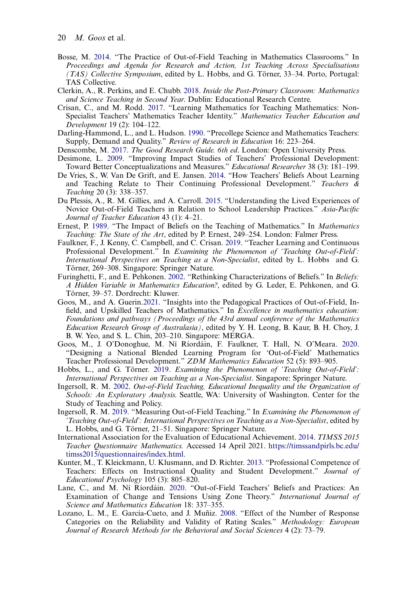- <span id="page-21-13"></span>Bosse, M. [2014](#page-6-1). "The Practice of Out-of-Field Teaching in Mathematics Classrooms." In Proceedings and Agenda for Research and Action, 1st Teaching Across Specialisations (TAS) Collective Symposium, edited by L. Hobbs, and G. Törner, 33–34. Porto, Portugal: TAS Collective.
- <span id="page-21-17"></span>Clerkin, A., R. Perkins, and E. Chubb. [2018](#page-15-1). Inside the Post-Primary Classroom: Mathematics and Science Teaching in Second Year. Dublin: Educational Research Centre.
- <span id="page-21-5"></span>Crisan, C., and M. Rodd. [2017](#page-4-0). "Learning Mathematics for Teaching Mathematics: Non-Specialist Teachers' Mathematics Teacher Identity." Mathematics Teacher Education and Development 19 (2): 104–122.
- <span id="page-21-18"></span>Darling-Hammond, L., and L. Hudson. [1990](#page-17-0). "Precollege Science and Mathematics Teachers: Supply, Demand and Quality." Review of Research in Education 16: 223-264.
- <span id="page-21-14"></span><span id="page-21-6"></span>Denscombe, M. [2017.](#page-8-0) The Good Research Guide. 6th ed. London: Open University Press.
- Desimone, L. [2009.](#page-4-1) "Improving Impact Studies of Teachers' Professional Development: Toward Better Conceptualizations and Measures." Educational Researcher 38 (3): 181–199.
- <span id="page-21-11"></span>De Vries, S., W. Van De Grift, and E. Jansen. [2014.](#page-6-2) "How Teachers' Beliefs About Learning and Teaching Relate to Their Continuing Professional Development." Teachers & Teaching 20 (3): 338–357.
- <span id="page-21-2"></span>Du Plessis, A., R. M. Gillies, and A. Carroll. [2015.](#page-3-0) "Understanding the Lived Experiences of Novice Out-of-Field Teachers in Relation to School Leadership Practices." Asia-Pacific Journal of Teacher Education 43 (1): 4–21.
- <span id="page-21-12"></span>Ernest, P. [1989.](#page-6-3) "The Impact of Beliefs on the Teaching of Mathematics." In Mathematics Teaching: The State of the Art, edited by P. Ernest, 249–254. London: Falmer Press.
- <span id="page-21-3"></span>Faulkner, F., J. Kenny, C. Campbell, and C. Crisan. [2019.](#page-3-1) "Teacher Learning and Continuous Professional Development." In Examining the Phenomenon of 'Teaching Out-of-Field': International Perspectives on Teaching as a Non-Specialist, edited by L. Hobbs and G. Törner, 269–308. Singapore: Springer Nature.
- <span id="page-21-10"></span>Furinghetti, F., and E. Pehkonen. [2002](#page-6-4). "Rethinking Characterizations of Beliefs." In Beliefs: A Hidden Variable in Mathematics Education?, edited by G. Leder, E. Pehkonen, and G. Törner, 39–57. Dordrecht: Kluwer.
- <span id="page-21-19"></span>Goos, M., and A. Guerin.[2021.](#page-19-2) "Insights into the Pedagogical Practices of Out-of-Field, Infield, and Upskilled Teachers of Mathematics." In Excellence in mathematics education: Foundations and pathways (Proceedings of the 43rd annual conference of the Mathematics Education Research Group of Australasia), edited by Y. H. Leong, B. Kaur, B. H. Choy, J. B. W. Yeo, and S. L. Chin, 203–210. Singapore: MERGA.
- <span id="page-21-7"></span>Goos, M., J. O'Donoghue, M. Ní Ríordáin, F. Faulkner, T. Hall, N. O'Meara. [2020.](#page-4-2) "Designing a National Blended Learning Program for 'Out-of-Field' Mathematics Teacher Professional Development." ZDM Mathematics Education 52 (5): 893–905.
- <span id="page-21-1"></span>Hobbs, L., and G. Törner. [2019.](#page-2-0) Examining the Phenomenon of 'Teaching Out-of-Field': International Perspectives on Teaching as a Non-Specialist. Singapore: Springer Nature.
- <span id="page-21-0"></span>Ingersoll, R. M. [2002](#page-2-1). Out-of-Field Teaching, Educational Inequality and the Organization of Schools: An Exploratory Analysis. Seattle, WA: University of Washington. Center for the Study of Teaching and Policy.
- <span id="page-21-4"></span>Ingersoll, R. M. [2019.](#page-4-3) "Measuring Out-of-Field Teaching." In Examining the Phenomenon of 'Teaching Out-of-Field': International Perspectives on Teaching as a Non-Specialist, edited by L. Hobbs, and G. Törner, 21–51. Singapore: Springer Nature.
- <span id="page-21-16"></span>International Association for the Evaluation of Educational Achievement. [2014](#page-9-0). TIMSS 2015 Teacher Questionnaire Mathematics. Accessed 14 April 2021. [https://timssandpirls.bc.edu/](https://timssandpirls.bc.edu/timss2015/questionnaires/index.html) [timss2015/questionnaires/index.html](https://timssandpirls.bc.edu/timss2015/questionnaires/index.html).
- <span id="page-21-9"></span>Kunter, M., T. Kleickmann, U. Klusmann, and D. Richter. [2013.](#page-6-5) "Professional Competence of Teachers: Effects on Instructional Quality and Student Development." Journal of Educational Psychology 105 (3): 805–820.
- <span id="page-21-8"></span>Lane, C., and M. Ní Ríordáin. [2020](#page-4-4). "Out-of-Field Teachers' Beliefs and Practices: An Examination of Change and Tensions Using Zone Theory." International Journal of Science and Mathematics Education 18: 337–355.
- <span id="page-21-15"></span>Lozano, L. M., E. García-Cueto, and J. Muñiz. [2008.](#page-9-1) "Effect of the Number of Response Categories on the Reliability and Validity of Rating Scales." Methodology: European Journal of Research Methods for the Behavioral and Social Sciences 4 (2): 73–79.